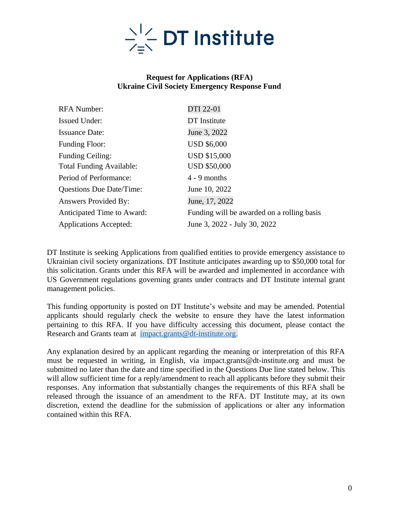

### **Request for Applications (RFA) Ukraine Civil Society Emergency Response Fund**

| <b>RFA Number:</b>              | DTI 22-01                                  |
|---------------------------------|--------------------------------------------|
| <b>Issued Under:</b>            | DT Institute                               |
| <b>Issuance Date:</b>           | June 3, 2022                               |
| <b>Funding Floor:</b>           | <b>USD \$6,000</b>                         |
| <b>Funding Ceiling:</b>         | <b>USD \$15,000</b>                        |
| <b>Total Funding Available:</b> | <b>USD \$50,000</b>                        |
| Period of Performance:          | $4 - 9$ months                             |
| <b>Questions Due Date/Time:</b> | June 10, 2022                              |
| <b>Answers Provided By:</b>     | June, 17, 2022                             |
| Anticipated Time to Award:      | Funding will be awarded on a rolling basis |
| <b>Applications Accepted:</b>   | June 3, 2022 - July 30, 2022               |

DT Institute is seeking Applications from qualified entities to provide emergency assistance to Ukrainian civil society organizations. DT Institute anticipates awarding up to \$50,000 total for this solicitation. Grants under this RFA will be awarded and implemented in accordance with US Government regulations governing grants under contracts and DT Institute internal grant management policies.

This funding opportunity is posted on DT Institute's website and may be amended. Potential applicants should regularly check the website to ensure they have the latest information pertaining to this RFA. If you have difficulty accessing this document, please contact the Research and Grants team at [impact.grants@dt-institute.org.](mailto:impact.grants@dt-institute.org)

Any explanation desired by an applicant regarding the meaning or interpretation of this RFA must be requested in writing, in English, via impact.grants@dt-institute.org and must be submitted no later than the date and time specified in the Questions Due line stated below. This will allow sufficient time for a reply/amendment to reach all applicants before they submit their responses. Any information that substantially changes the requirements of this RFA shall be released through the issuance of an amendment to the RFA. DT Institute may, at its own discretion, extend the deadline for the submission of applications or alter any information contained within this RFA.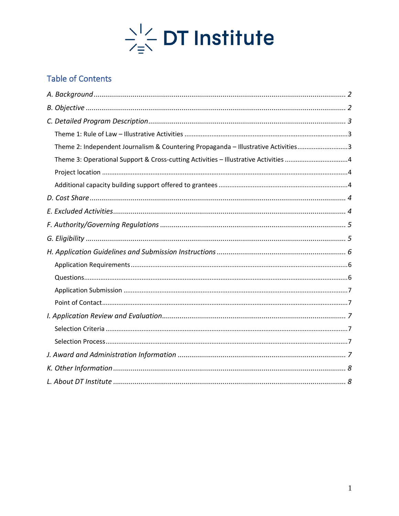

# **Table of Contents**

| Theme 2: Independent Journalism & Countering Propaganda - Illustrative Activities3  |  |
|-------------------------------------------------------------------------------------|--|
| Theme 3: Operational Support & Cross-cutting Activities - Illustrative Activities 4 |  |
|                                                                                     |  |
|                                                                                     |  |
|                                                                                     |  |
|                                                                                     |  |
|                                                                                     |  |
|                                                                                     |  |
|                                                                                     |  |
|                                                                                     |  |
|                                                                                     |  |
|                                                                                     |  |
|                                                                                     |  |
|                                                                                     |  |
|                                                                                     |  |
|                                                                                     |  |
|                                                                                     |  |
|                                                                                     |  |
|                                                                                     |  |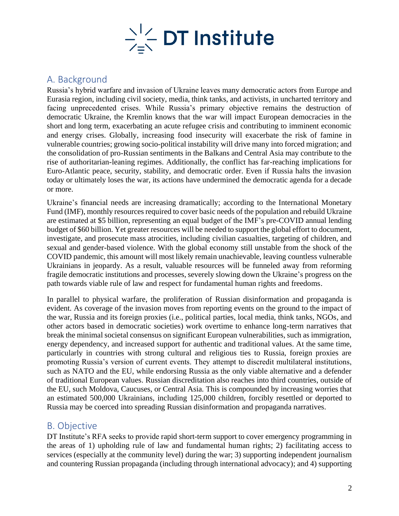

# <span id="page-2-0"></span>A. Background

Russia's hybrid warfare and invasion of Ukraine leaves many democratic actors from Europe and Eurasia region, including civil society, media, think tanks, and activists, in uncharted territory and facing unprecedented crises. While Russia's primary objective remains the destruction of democratic Ukraine, the Kremlin knows that the war will impact European democracies in the short and long term, exacerbating an acute refugee crisis and contributing to imminent economic and energy crises. Globally, increasing food insecurity will exacerbate the risk of famine in vulnerable countries; growing socio-political instability will drive many into forced migration; and the consolidation of pro-Russian sentiments in the Balkans and Central Asia may contribute to the rise of authoritarian-leaning regimes. Additionally, the conflict has far-reaching implications for Euro-Atlantic peace, security, stability, and democratic order. Even if Russia halts the invasion today or ultimately loses the war, its actions have undermined the democratic agenda for a decade or more.

Ukraine's financial needs are increasing dramatically; according to the International Monetary Fund (IMF), monthly resources required to cover basic needs of the population and rebuild Ukraine are estimated at \$5 billion, representing an equal budget of the IMF's pre-COVID annual lending budget of \$60 billion. Yet greater resources will be needed to support the global effort to document, investigate, and prosecute mass atrocities, including civilian casualties, targeting of children, and sexual and gender-based violence. With the global economy still unstable from the shock of the COVID pandemic, this amount will most likely remain unachievable, leaving countless vulnerable Ukrainians in jeopardy. As a result, valuable resources will be funneled away from reforming fragile democratic institutions and processes, severely slowing down the Ukraine's progress on the path towards viable rule of law and respect for fundamental human rights and freedoms.

In parallel to physical warfare, the proliferation of Russian disinformation and propaganda is evident. As coverage of the invasion moves from reporting events on the ground to the impact of the war, Russia and its foreign proxies (i.e., political parties, local media, think tanks, NGOs, and other actors based in democratic societies) work overtime to enhance long-term narratives that break the minimal societal consensus on significant European vulnerabilities, such as immigration, energy dependency, and increased support for authentic and traditional values. At the same time, particularly in countries with strong cultural and religious ties to Russia, foreign proxies are promoting Russia's version of current events. They attempt to discredit multilateral institutions, such as NATO and the EU, while endorsing Russia as the only viable alternative and a defender of traditional European values. Russian discreditation also reaches into third countries, outside of the EU, such Moldova, Caucuses, or Central Asia. This is compounded by increasing worries that an estimated 500,000 Ukrainians, including 125,000 children, forcibly resettled or deported to Russia may be coerced into spreading Russian disinformation and propaganda narratives.

### <span id="page-2-1"></span>B. Objective

DT Institute's RFA seeks to provide rapid short-term support to cover emergency programming in the areas of 1) upholding rule of law and fundamental human rights; 2) facilitating access to services (especially at the community level) during the war; 3) supporting independent journalism and countering Russian propaganda (including through international advocacy); and 4) supporting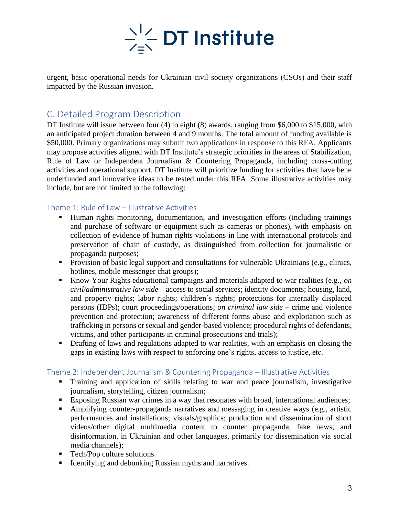

urgent, basic operational needs for Ukrainian civil society organizations (CSOs) and their staff impacted by the Russian invasion.

## <span id="page-3-0"></span>C. Detailed Program Description

DT Institute will issue between four (4) to eight (8) awards, ranging from \$6,000 to \$15,000, with an anticipated project duration between 4 and 9 months. The total amount of funding available is \$50,000. Primary organizations may submit two applications in response to this RFA. Applicants may propose activities aligned with DT Institute's strategic priorities in the areas of Stabilization, Rule of Law or Independent Journalism & Countering Propaganda, including cross-cutting activities and operational support. DT Institute will prioritize funding for activities that have bene underfunded and innovative ideas to be tested under this RFA. Some illustrative activities may include, but are not limited to the following:

### <span id="page-3-1"></span>Theme 1: Rule of Law – Illustrative Activities

- Human rights monitoring, documentation, and investigation efforts (including trainings and purchase of software or equipment such as cameras or phones), with emphasis on collection of evidence of human rights violations in line with international protocols and preservation of chain of custody, as distinguished from collection for journalistic or propaganda purposes;
- **•** Provision of basic legal support and consultations for vulnerable Ukrainians (e.g., clinics, hotlines, mobile messenger chat groups);
- Know Your Rights educational campaigns and materials adapted to war realities (e.g., *on civil/administrative law side* – access to social services; identity documents; housing, land, and property rights; labor rights; children's rights; protections for internally displaced persons (IDPs); court proceedings/operations; *on criminal law side* – crime and violence prevention and protection; awareness of different forms abuse and exploitation such as trafficking in persons or sexual and gender-based violence; procedural rights of defendants, victims, and other participants in criminal prosecutions and trials);
- Drafting of laws and regulations adapted to war realities, with an emphasis on closing the gaps in existing laws with respect to enforcing one's rights, access to justice, etc.

### <span id="page-3-2"></span>Theme 2: Independent Journalism & Countering Propaganda – Illustrative Activities

- Training and application of skills relating to war and peace journalism, investigative journalism, storytelling, citizen journalism;
- Exposing Russian war crimes in a way that resonates with broad, international audiences;
- Amplifying counter-propaganda narratives and messaging in creative ways (e.g., artistic performances and installations; visuals/graphics; production and dissemination of short videos/other digital multimedia content to counter propaganda, fake news, and disinformation, in Ukrainian and other languages, primarily for dissemination via social media channels);
- Tech/Pop culture solutions
- Identifying and debunking Russian myths and narratives.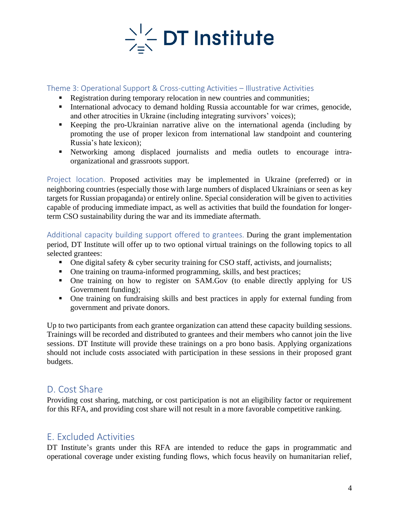

#### <span id="page-4-0"></span>Theme 3: Operational Support & Cross-cutting Activities – Illustrative Activities

- Registration during temporary relocation in new countries and communities;
- **EXECUTE:** International advocacy to demand holding Russia accountable for war crimes, genocide, and other atrocities in Ukraine (including integrating survivors' voices);
- Keeping the pro-Ukrainian narrative alive on the international agenda (including by promoting the use of proper lexicon from international law standpoint and countering Russia's hate lexicon);
- Networking among displaced journalists and media outlets to encourage intraorganizational and grassroots support.

<span id="page-4-1"></span>Project location. Proposed activities may be implemented in Ukraine (preferred) or in neighboring countries (especially those with large numbers of displaced Ukrainians or seen as key targets for Russian propaganda) or entirely online. Special consideration will be given to activities capable of producing immediate impact, as well as activities that build the foundation for longerterm CSO sustainability during the war and its immediate aftermath.

<span id="page-4-2"></span>Additional capacity building support offered to grantees. During the grant implementation period, DT Institute will offer up to two optional virtual trainings on the following topics to all selected grantees:

- One digital safety & cyber security training for CSO staff, activists, and journalists;
- One training on trauma-informed programming, skills, and best practices;
- One training on how to register on SAM.Gov (to enable directly applying for US Government funding);
- One training on fundraising skills and best practices in apply for external funding from government and private donors.

Up to two participants from each grantee organization can attend these capacity building sessions. Trainings will be recorded and distributed to grantees and their members who cannot join the live sessions. DT Institute will provide these trainings on a pro bono basis. Applying organizations should not include costs associated with participation in these sessions in their proposed grant budgets.

## <span id="page-4-3"></span>D. Cost Share

Providing cost sharing, matching, or cost participation is not an eligibility factor or requirement for this RFA, and providing cost share will not result in a more favorable competitive ranking.

## <span id="page-4-4"></span>E. Excluded Activities

DT Institute's grants under this RFA are intended to reduce the gaps in programmatic and operational coverage under existing funding flows, which focus heavily on humanitarian relief,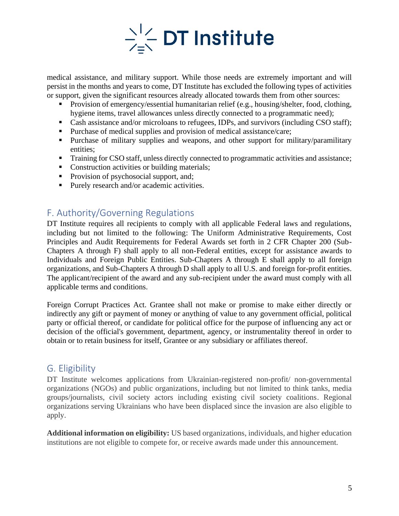

medical assistance, and military support. While those needs are extremely important and will persist in the months and years to come, DT Institute has excluded the following types of activities or support, given the significant resources already allocated towards them from other sources:

- Provision of emergency/essential humanitarian relief (e.g., housing/shelter, food, clothing, hygiene items, travel allowances unless directly connected to a programmatic need);
- **•** Cash assistance and/or microloans to refugees, IDPs, and survivors (including CSO staff);
- Purchase of medical supplies and provision of medical assistance/care;
- Purchase of military supplies and weapons, and other support for military/paramilitary entities;
- **Training for CSO staff, unless directly connected to programmatic activities and assistance;**
- Construction activities or building materials;
- Provision of psychosocial support, and;
- Purely research and/or academic activities.

## <span id="page-5-0"></span>F. Authority/Governing Regulations

DT Institute requires all recipients to comply with all applicable Federal laws and regulations, including but not limited to the following: The Uniform Administrative Requirements, Cost Principles and Audit Requirements for Federal Awards set forth in 2 CFR Chapter 200 (Sub-Chapters A through F) shall apply to all non-Federal entities, except for assistance awards to Individuals and Foreign Public Entities. Sub-Chapters A through E shall apply to all foreign organizations, and Sub-Chapters A through D shall apply to all U.S. and foreign for-profit entities. The applicant/recipient of the award and any sub-recipient under the award must comply with all applicable terms and conditions.

Foreign Corrupt Practices Act. Grantee shall not make or promise to make either directly or indirectly any gift or payment of money or anything of value to any government official, political party or official thereof, or candidate for political office for the purpose of influencing any act or decision of the official's government, department, agency, or instrumentality thereof in order to obtain or to retain business for itself, Grantee or any subsidiary or affiliates thereof.

## <span id="page-5-1"></span>G. Eligibility

DT Institute welcomes applications from Ukrainian-registered non-profit/ non-governmental organizations (NGOs) and public organizations, including but not limited to think tanks, media groups/journalists, civil society actors including existing civil society coalitions. Regional organizations serving Ukrainians who have been displaced since the invasion are also eligible to apply.

**Additional information on eligibility:** US based organizations, individuals, and higher education institutions are not eligible to compete for, or receive awards made under this announcement.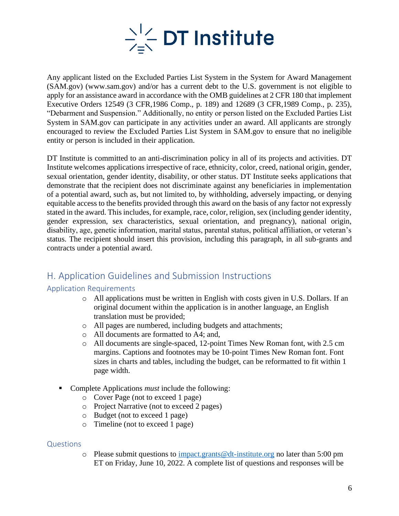

Any applicant listed on the Excluded Parties List System in the System for Award Management (SAM.gov) (www.sam.gov) and/or has a current debt to the U.S. government is not eligible to apply for an assistance award in accordance with the OMB guidelines at 2 CFR 180 that implement Executive Orders 12549 (3 CFR,1986 Comp., p. 189) and 12689 (3 CFR,1989 Comp., p. 235), "Debarment and Suspension." Additionally, no entity or person listed on the Excluded Parties List System in SAM.gov can participate in any activities under an award. All applicants are strongly encouraged to review the Excluded Parties List System in SAM.gov to ensure that no ineligible entity or person is included in their application.

DT Institute is committed to an anti-discrimination policy in all of its projects and activities. DT Institute welcomes applications irrespective of race, ethnicity, color, creed, national origin, gender, sexual orientation, gender identity, disability, or other status. DT Institute seeks applications that demonstrate that the recipient does not discriminate against any beneficiaries in implementation of a potential award, such as, but not limited to, by withholding, adversely impacting, or denying equitable access to the benefits provided through this award on the basis of any factor not expressly stated in the award. This includes, for example, race, color, religion, sex (including gender identity, gender expression, sex characteristics, sexual orientation, and pregnancy), national origin, disability, age, genetic information, marital status, parental status, political affiliation, or veteran's status. The recipient should insert this provision, including this paragraph, in all sub-grants and contracts under a potential award.

# <span id="page-6-0"></span>H. Application Guidelines and Submission Instructions

### <span id="page-6-1"></span>Application Requirements

- o All applications must be written in English with costs given in U.S. Dollars. If an original document within the application is in another language, an English translation must be provided;
- o All pages are numbered, including budgets and attachments;
- o All documents are formatted to A4; and,
- o All documents are single-spaced, 12-point Times New Roman font, with 2.5 cm margins. Captions and footnotes may be 10-point Times New Roman font. Font sizes in charts and tables, including the budget, can be reformatted to fit within 1 page width.
- Complete Applications *must* include the following:
	- o Cover Page (not to exceed 1 page)
	- o Project Narrative (not to exceed 2 pages)
	- o Budget (not to exceed 1 page)
	- o Timeline (not to exceed 1 page)

#### <span id="page-6-2"></span>**Questions**

o Please submit questions to  $\frac{impact \cdot grants@dt - institute.org}{d}$  no later than 5:00 pm ET on Friday, June 10, 2022. A complete list of questions and responses will be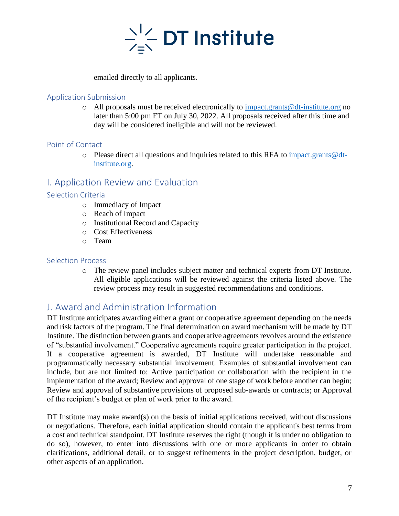

emailed directly to all applicants.

#### <span id="page-7-0"></span>Application Submission

 $\circ$  All proposals must be received electronically to [impact.grants@dt-institute.org](mailto:impact.grants@dt-institute.org) no later than 5:00 pm ET on July 30, 2022. All proposals received after this time and day will be considered ineligible and will not be reviewed.

### <span id="page-7-1"></span>Point of Contact

 $\circ$  Please direct all questions and inquiries related to this RFA to [impact.grants@dt](mailto:impact.grants@dt-institute.org)[institute.org.](mailto:impact.grants@dt-institute.org)

### <span id="page-7-2"></span>I. Application Review and Evaluation

### <span id="page-7-3"></span>Selection Criteria

- o Immediacy of Impact
- o Reach of Impact
- o Institutional Record and Capacity
- o Cost Effectiveness
- o Team

#### <span id="page-7-4"></span>Selection Process

o The review panel includes subject matter and technical experts from DT Institute. All eligible applications will be reviewed against the criteria listed above. The review process may result in suggested recommendations and conditions.

# <span id="page-7-5"></span>J. Award and Administration Information

DT Institute anticipates awarding either a grant or cooperative agreement depending on the needs and risk factors of the program. The final determination on award mechanism will be made by DT Institute. The distinction between grants and cooperative agreements revolves around the existence of "substantial involvement." Cooperative agreements require greater participation in the project. If a cooperative agreement is awarded, DT Institute will undertake reasonable and programmatically necessary substantial involvement. Examples of substantial involvement can include, but are not limited to: Active participation or collaboration with the recipient in the implementation of the award; Review and approval of one stage of work before another can begin; Review and approval of substantive provisions of proposed sub-awards or contracts; or Approval of the recipient's budget or plan of work prior to the award.

DT Institute may make award(s) on the basis of initial applications received, without discussions or negotiations. Therefore, each initial application should contain the applicant's best terms from a cost and technical standpoint. DT Institute reserves the right (though it is under no obligation to do so), however, to enter into discussions with one or more applicants in order to obtain clarifications, additional detail, or to suggest refinements in the project description, budget, or other aspects of an application.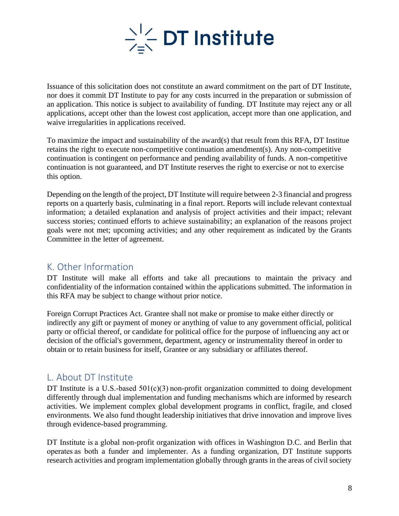

Issuance of this solicitation does not constitute an award commitment on the part of DT Institute, nor does it commit DT Institute to pay for any costs incurred in the preparation or submission of an application. This notice is subject to availability of funding. DT Institute may reject any or all applications, accept other than the lowest cost application, accept more than one application, and waive irregularities in applications received.

To maximize the impact and sustainability of the award(s) that result from this RFA, DT Institue retains the right to execute non-competitive continuation amendment(s). Any non-competitive continuation is contingent on performance and pending availability of funds. A non-competitive continuation is not guaranteed, and DT Institute reserves the right to exercise or not to exercise this option.

Depending on the length of the project, DT Institute will require between 2-3 financial and progress reports on a quarterly basis, culminating in a final report. Reports will include relevant contextual information; a detailed explanation and analysis of project activities and their impact; relevant success stories; continued efforts to achieve sustainability; an explanation of the reasons project goals were not met; upcoming activities; and any other requirement as indicated by the Grants Committee in the letter of agreement.

## <span id="page-8-0"></span>K. Other Information

DT Institute will make all efforts and take all precautions to maintain the privacy and confidentiality of the information contained within the applications submitted. The information in this RFA may be subject to change without prior notice.

Foreign Corrupt Practices Act. Grantee shall not make or promise to make either directly or indirectly any gift or payment of money or anything of value to any government official, political party or official thereof, or candidate for political office for the purpose of influencing any act or decision of the official's government, department, agency or instrumentality thereof in order to obtain or to retain business for itself, Grantee or any subsidiary or affiliates thereof.

### <span id="page-8-1"></span>L. About DT Institute

DT Institute is a U.S.-based  $501(c)(3)$  non-profit organization committed to doing development differently through dual implementation and funding mechanisms which are informed by research activities. We implement complex global development programs in conflict, fragile, and closed environments. We also fund thought leadership initiatives that drive innovation and improve lives through evidence-based programming. 

DT Institute is a global non-profit organization with offices in Washington D.C. and Berlin that operates as both a funder and implementer. As a funding organization, DT Institute supports research activities and program implementation globally through grants in the areas of civil society